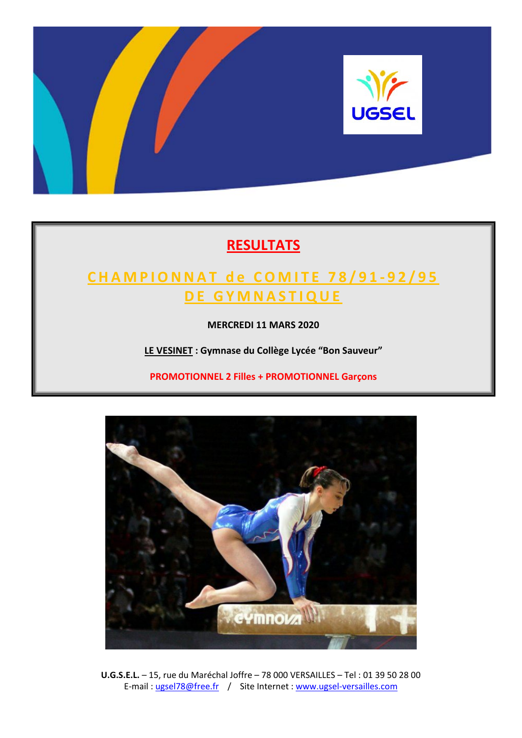

# **RESULTATS**

# **CHAMPIONNAT d e COMITE 78/91 ‐ 92/95 D E GYMNASTIQUE**

**MERCREDI 11 MARS 2020**

**LE VESINET : Gymnase du Collège Lycée "Bon Sauveur"**

**PROMOTIONNEL 2 Filles + PROMOTIONNEL Garçons**



**U.G.S.E.L.** – 15, rue du Maréchal Joffre – 78 000 VERSAILLES – Tel : 01 39 50 28 00 E-mail : ugsel78@free.fr / Site Internet : www.ugsel-versailles.com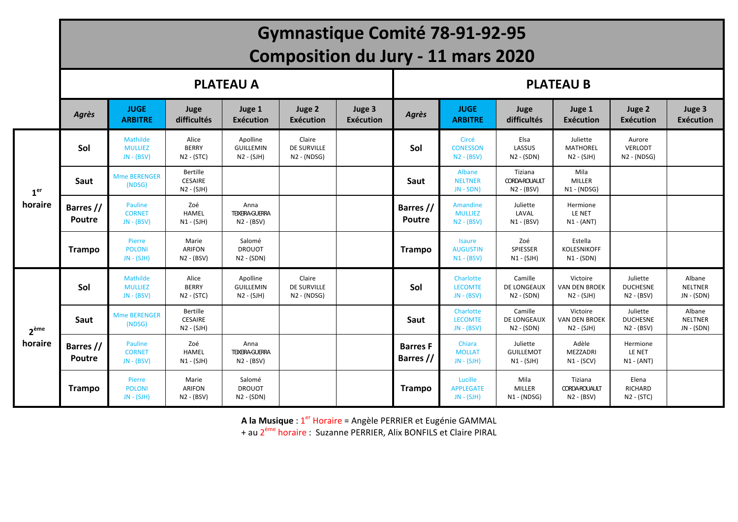|                  |                            |                                            |                                            |                                                | <b>Gymnastique Comité 78-91-92-95</b>         |                            |                              |                                                  |                                                 |                                                  |                                             |                                        |
|------------------|----------------------------|--------------------------------------------|--------------------------------------------|------------------------------------------------|-----------------------------------------------|----------------------------|------------------------------|--------------------------------------------------|-------------------------------------------------|--------------------------------------------------|---------------------------------------------|----------------------------------------|
|                  |                            |                                            |                                            |                                                | <b>Composition du Jury - 11 mars 2020</b>     |                            |                              |                                                  |                                                 |                                                  |                                             |                                        |
|                  |                            |                                            |                                            | <b>PLATEAU A</b>                               |                                               |                            |                              |                                                  |                                                 | <b>PLATEAU B</b>                                 |                                             |                                        |
|                  | Agrès                      | <b>JUGE</b><br><b>ARBITRE</b>              | Juge<br>difficultés                        | Juge 1<br>Exécution                            | Juge 2<br>Exécution                           | Juge 3<br><b>Exécution</b> | Agrès                        | <b>JUGE</b><br><b>ARBITRE</b>                    | Juge<br>difficultés                             | Juge 1<br><b>Exécution</b>                       | Juge 2<br>Exécution                         | Juge 3<br><b>Exécution</b>             |
|                  | Sol                        | Mathilde<br><b>MULLIEZ</b><br>$JN - (BSV)$ | Alice<br><b>BERRY</b><br>N2 - (STC)        | Apolline<br><b>GUILLEMIN</b><br>N2 - (SJH)     | Claire<br>DE SURVILLE<br>$N2 - (NDSG)$        |                            | Sol                          | Circé<br><b>CONESSON</b><br>$N2 - (BSV)$         | Elsa<br>LASSUS<br>$N2 - (SDN)$                  | Juliette<br><b>MATHOREL</b><br>$N2 - (SJH)$      | Aurore<br>VERLODT<br>$N2 - (NDSG)$          |                                        |
| 1 <sup>er</sup>  | Saut                       | <b>Mme BERENGER</b><br>(NDSG)              | Bertille<br><b>CESAIRE</b><br>$N2 - (SJH)$ |                                                |                                               |                            | Saut                         | Albane<br><b>NELTNER</b><br>$JN - SDN$           | Tiziana<br><b>CORDA-ROUAULT</b><br>$N2 - (BSV)$ | Mila<br>MILLER<br>$N1 - (NDSG)$                  |                                             |                                        |
| horaire          | Barres //<br><b>Poutre</b> | Pauline<br><b>CORNET</b><br>$JN - (BSV)$   | Zoé<br>HAMEL<br>$N1 - (SJH)$               | Anna<br><b>TEIXEIRA-GUERRA</b><br>$N2 - (BSV)$ |                                               |                            | Barres //<br><b>Poutre</b>   | Amandine<br><b>MULLIEZ</b><br>$N2 - (BSV)$       | Juliette<br>LAVAL<br>$N1 - (BSV)$               | Hermione<br>LE NET<br>$N1 - (ANT)$               |                                             |                                        |
|                  | <b>Trampo</b>              | Pierre<br><b>POLONI</b><br>$JN - (SJH)$    | Marie<br>ARIFON<br>$N2 - (BSV)$            | Salomé<br><b>DROUOT</b><br>$N2 - (SDN)$        |                                               |                            | <b>Trampo</b>                | <b>Isaure</b><br><b>AUGUSTIN</b><br>$N1 - (BSV)$ | Zoé<br>SPIESSER<br>$N1 - (SJH)$                 | Estella<br>KOLESNIKOFF<br>$N1 - (SDN)$           |                                             |                                        |
|                  | Sol                        | Mathilde<br><b>MULLIEZ</b><br>$JN - (BSV)$ | Alice<br><b>BERRY</b><br>N2 - (STC)        | Apolline<br><b>GUILLEMIN</b><br>N2 - (SJH)     | Claire<br><b>DE SURVILLE</b><br>$N2 - (NDSG)$ |                            | Sol                          | Charlotte<br><b>LECOMTE</b><br>$JN - (BSV)$      | Camille<br>DE LONGEAUX<br>$N2 - (SDN)$          | Victoire<br><b>VAN DEN BROEK</b><br>$N2 - (SJH)$ | Juliette<br><b>DUCHESNE</b><br>$N2 - (BSV)$ | Albane<br><b>NELTNER</b><br>JN - (SDN) |
| 2 <sup>ème</sup> | Saut                       | <b>Mme BERENGER</b><br>(NDSG)              | Bertille<br><b>CESAIRE</b><br>$N2 - (SJH)$ |                                                |                                               |                            | Saut                         | Charlotte<br><b>LECOMTE</b><br>$JN - (BSV)$      | Camille<br>DE LONGEAUX<br>$N2 - (SDN)$          | Victoire<br><b>VAN DEN BROEK</b><br>$N2 - (SJH)$ | Juliette<br><b>DUCHESNE</b><br>$N2 - (BSV)$ | Albane<br><b>NELTNER</b><br>JN - (SDN) |
| horaire          | Barres //<br>Poutre        | Pauline<br><b>CORNET</b><br>$JN - (BSV)$   | Zoé<br><b>HAMEL</b><br>$N1 - (SIH)$        | Anna<br><b>TEIXEIRA-GUERRA</b><br>$N2 - (BSV)$ |                                               |                            | <b>Barres F</b><br>Barres // | Chiara<br><b>MOLLAT</b><br>$JN - (SJH)$          | Juliette<br><b>GUILLEMOT</b><br>$N1 - (SIH)$    | Adèle<br>MEZZADRI<br>$N1 - (SCV)$                | Hermione<br>LE NET<br>$N1 - (ANT)$          |                                        |
|                  | <b>Trampo</b>              | Pierre<br><b>POLONI</b><br>$JN - (SJH)$    | Marie<br>ARIFON<br>$N2 - (BSV)$            | Salomé<br><b>DROUOT</b><br>$N2 - (SDN)$        |                                               |                            | <b>Trampo</b>                | Lucille<br><b>APPLEGATE</b><br>$JN - (SJH)$      | Mila<br><b>MILLER</b><br>$N1 - (NDSG)$          | Tiziana<br><b>CORDA-ROUAULT</b><br>$N2 - (BSV)$  | Elena<br><b>RICHARD</b><br>N2 - (STC)       |                                        |

**A la Musique** : <sup>1</sup>er Horaire <sup>=</sup> Angèle PERRIER et Eugénie GAMMAL

+ au 2<sup>ème</sup> horaire : Suzanne PERRIER, Alix BONFILS et Claire PIRAL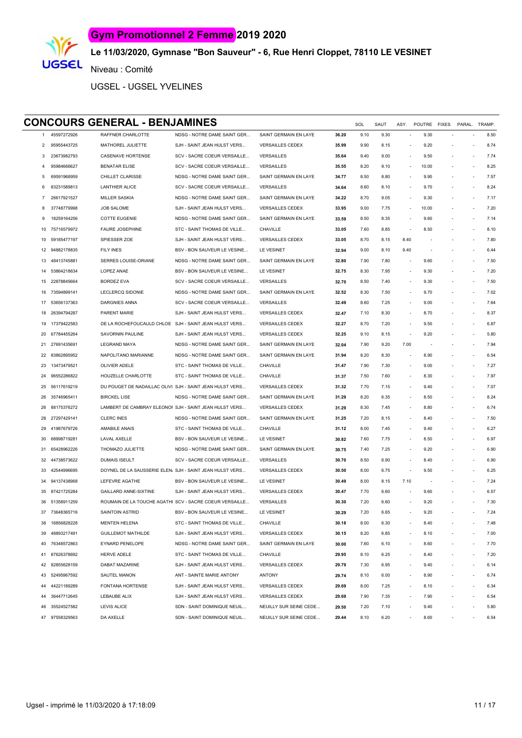

# **Le 11/03/2020, Gymnase "Bon Sauveur" - 6, Rue Henri Cloppet, 78110 LE VESINET**

Niveau : Comité

UGSEL - UGSEL YVELINES

#### **CONCOURS GENERAL - BENJAMINES** SOL SAUT ASY. POUTRE FIXES PARAL. TRAMP.

| 1              | 45597272926    | RAFFNER CHARLOTTE                                         | NDSG - NOTRE DAME SAINT GER                             | SAINT GERMAIN EN LAYE   | 36.20 | 9.10 | 9.30 | $\sim$                   | 9.30                     |                          | 8.50 |
|----------------|----------------|-----------------------------------------------------------|---------------------------------------------------------|-------------------------|-------|------|------|--------------------------|--------------------------|--------------------------|------|
| 2              | 95955443725    | MATHOREL JULIETTE                                         | SJH - SAINT JEAN HULST VERS                             | <b>VERSAILLES CEDEX</b> | 35.99 | 9.90 | 8.15 | $\sim$                   | 9.20                     |                          | 8.74 |
| 3              | 23673982793    | <b>CASENAVE HORTENSE</b>                                  | SCV - SACRE COEUR VERSAILLE                             | <b>VERSAILLES</b>       | 35.64 | 9.40 | 9.00 | $\sim$                   | 9.50                     |                          | 7.74 |
| $\overline{4}$ | 95984666627    | <b>BENATAR ELISE</b>                                      | SCV - SACRE COEUR VERSAILLE                             | <b>VERSAILLES</b>       | 35.55 | 8.20 | 9.10 | $\sim$                   | 10.00                    |                          | 8.25 |
| 5              | 69591968959    | CHILLET CLARISSE                                          | NDSG - NOTRE DAME SAINT GER                             | SAINT GERMAIN EN LAYE   | 34.77 | 8.50 | 8.80 | $\sim$                   | 9.90                     |                          | 7.57 |
| 6              | 83231589813    | <b>LANTHIER ALICE</b>                                     | SCV - SACRE COEUR VERSAILLE                             | <b>VERSAILLES</b>       | 34.64 | 8.60 | 8.10 | $\sim$                   | 9.70                     |                          | 8.24 |
| 7              | 26617921527    | <b>MILLER SASKIA</b>                                      | NDSG - NOTRE DAME SAINT GER                             | SAINT GERMAIN EN LAYE   | 34.22 | 8.70 | 9.05 | $\sim$                   | 9.30                     |                          | 7.17 |
| 8              | 37748779998    | <b>JOB SALOME</b>                                         | SJH - SAINT JEAN HULST VERS                             | <b>VERSAILLES CEDEX</b> | 33.95 | 9.00 | 7.75 | $\sim$                   | 10.00                    |                          | 7.20 |
| 9              | 18259164256    | <b>COTTE EUGENIE</b>                                      | NDSG - NOTRE DAME SAINT GER                             | SAINT GERMAIN EN LAYE   | 33.59 | 8.50 | 8.35 | $\overline{\phantom{a}}$ | 9.60                     |                          | 7.14 |
| 10             | 75716579972    | <b>FAURE JOSEPHINE</b>                                    | STC - SAINT THOMAS DE VILLE                             | CHAVILLE                | 33.05 | 7.60 | 8.85 | $\sim$                   | 8.50                     |                          | 8.10 |
| 10             | 59185477197    | SPIESSER ZOE                                              | SJH - SAINT JEAN HULST VERS                             | <b>VERSAILLES CEDEX</b> | 33.05 | 8.70 | 8.15 | 8.40                     | $\sim$                   | $\overline{\phantom{a}}$ | 7.80 |
| 12             | 94882178835    | <b>FILY INES</b>                                          | BSV - BON SAUVEUR LE VESINE                             | LE VESINET              | 32.94 | 9.00 | 8.10 | 9.40                     | $\overline{\phantom{a}}$ |                          | 6.44 |
| 13             | 48413745881    | SERRES LOUISE-ORIANE                                      | NDSG - NOTRE DAME SAINT GER                             | SAINT GERMAIN EN LAYE   | 32.80 | 7.90 | 7.80 | $\overline{\phantom{a}}$ | 9.60                     |                          | 7.50 |
| 14             | 53864218634    | LOPEZ ANAE                                                | BSV - BON SAUVEUR LE VESINE                             | LE VESINET              | 32.75 | 8.30 | 7.95 | $\overline{\phantom{a}}$ | 9.30                     |                          | 7.20 |
| 15             | 22878845664    | <b>BORDEZ EVA</b>                                         | SCV - SACRE COEUR VERSAILLE                             | <b>VERSAILLES</b>       | 32.70 | 8.50 | 7.40 | $\overline{\phantom{a}}$ | 9.30                     |                          | 7.50 |
| 16             | 73594899141    | LECLERCQ SIDONIE                                          | NDSG - NOTRE DAME SAINT GER                             | SAINT GERMAIN EN LAYE   | 32.52 | 8.30 | 7.50 | $\overline{\phantom{a}}$ | 9.70                     |                          | 7.02 |
| 17             | 53656137363    | DARGNIES ANNA                                             | SCV - SACRE COEUR VERSAILLE                             | <b>VERSAILLES</b>       | 32.49 | 8.60 | 7.25 | $\sim$                   | 9.00                     |                          | 7.64 |
| 18             | 26394794287    | PARENT MARIE                                              | SJH - SAINT JEAN HULST VERS                             | <b>VERSAILLES CEDEX</b> | 32.47 | 7.10 | 8.30 | $\sim$                   | 8.70                     |                          | 8.37 |
| 19             | 17379422583    | DE LA ROCHEFOUCAULD CHLOE SJH - SAINT JEAN HULST VERS     |                                                         | <b>VERSAILLES CEDEX</b> | 32.27 | 8.70 | 7.20 | $\sim$                   | 9.50                     |                          | 6.87 |
| 20             | 67784455264    | SAVORNIN PAULINE                                          | SJH - SAINT JEAN HULST VERS                             | <b>VERSAILLES CEDEX</b> | 32.25 | 9.10 | 8.15 | $\sim$                   | 9.20                     |                          | 5.80 |
| 21             | 27691435691    | <b>LEGRAND MAYA</b>                                       | NDSG - NOTRE DAME SAINT GER                             | SAINT GERMAIN EN LAYE   | 32.04 | 7.90 | 9.20 | 7.00                     | $\overline{\phantom{a}}$ |                          | 7.94 |
| 22             | 83862895952    | NAPOLITANO MARIANNE                                       | NDSG - NOTRE DAME SAINT GER                             | SAINT GERMAIN EN LAYE   | 31.94 | 8.20 | 8.30 | $\overline{\phantom{a}}$ | 8.90                     |                          | 6.54 |
| 23             | 13473479521    | OLIVIER ADELE                                             | STC - SAINT THOMAS DE VILLE                             | CHAVILLE                | 31.47 | 7.90 | 7.30 | $\overline{\phantom{a}}$ | 9.00                     |                          | 7.27 |
| 24             | 96552286822    | HOUZELLE CHARLOTTE                                        | STC - SAINT THOMAS DE VILLE                             | CHAVILLE                | 31.37 | 7.50 | 7.60 | $\overline{\phantom{a}}$ | 8.30                     |                          | 7.97 |
| 25             | 56117619219    | DU POUGET DE NADAILLAC OLIVI. SJH - SAINT JEAN HULST VERS |                                                         | <b>VERSAILLES CEDEX</b> | 31.32 | 7.70 | 7.15 | $\overline{\phantom{a}}$ | 9.40                     |                          | 7.07 |
| 26             | 35746965411    | <b>BIRCKEL LISE</b>                                       | NDSG - NOTRE DAME SAINT GER                             | SAINT GERMAIN EN LAYE   | 31.29 | 8.20 | 6.35 | $\sim$                   | 8.50                     |                          | 8.24 |
| 26             | 88175376272    | LAMBERT DE CAMBRAY ELEONOF SJH - SAINT JEAN HULST VERS    |                                                         | <b>VERSAILLES CEDEX</b> | 31.29 | 8.30 | 7.45 |                          | 8.80                     |                          | 6.74 |
| 28             | 27297429141    | <b>CLERC INES</b>                                         | NDSG - NOTRE DAME SAINT GER                             | SAINT GERMAIN EN LAYE   | 31.25 | 7.20 | 8.15 |                          | 8.40                     |                          | 7.50 |
| 29             | 41987679726    | AMABILE ANAIS                                             | STC - SAINT THOMAS DE VILLE                             | CHAVILLE                | 31.12 | 8.00 | 7.45 |                          | 9.40                     |                          | 6.27 |
| 30             | 68998719281    | LAVAL AXELLE                                              | BSV - BON SAUVEUR LE VESINE                             | LE VESINET              | 30.82 | 7.60 | 7.75 |                          | 8.50                     |                          | 6.97 |
| 31             | 65428962226    | THOMAZO JULIETTE                                          | NDSG - NOTRE DAME SAINT GER                             | SAINT GERMAIN EN LAYE   | 30.75 | 7.40 | 7.25 | $\overline{\phantom{a}}$ | 9.20                     |                          | 6.90 |
| 32             | 44738573622    | <b>DUMAIS ISEULT</b>                                      | SCV - SACRE COEUR VERSAILLE                             | VERSAILLES              | 30.70 | 8.50 | 6.90 | $\overline{\phantom{a}}$ | 8.40                     |                          | 6.90 |
| 33             | 42544996695    | DOYNEL DE LA SAUSSERIE ELEN/ SJH - SAINT JEAN HULST VERS  |                                                         | <b>VERSAILLES CEDEX</b> | 30.50 | 8.00 | 6.75 | $\sim$                   | 9.50                     |                          | 6.25 |
| 34             | 94137438968    | LEFEVRE AGATHE                                            | BSV - BON SAUVEUR LE VESINE                             | LE VESINET              | 30.49 | 8.00 | 8.15 | 7.10                     | $\overline{\phantom{a}}$ |                          | 7.24 |
| 35             | 87421725284    | GAILLARD ANNE-SIXTINE                                     | SJH - SAINT JEAN HULST VERS                             | <b>VERSAILLES CEDEX</b> | 30.47 | 7.70 | 6.60 | $\overline{\phantom{a}}$ | 9.60                     |                          | 6.57 |
| 36             | 51358911259    |                                                           | ROUMAIN DE LA TOUCHE AGATHI SCV - SACRE COEUR VERSAILLE | VERSAILLES              | 30.30 | 7.20 | 6.60 |                          | 9.20                     |                          | 7.30 |
|                | 37 73648365716 | <b>SAINTOIN ASTRID</b>                                    | BSV - BON SAUVEUR LE VESINE                             | LE VESINET              | 30.29 | 7.20 | 6.65 |                          | 9.20                     |                          | 7.24 |
| 38             | 16856828228    | <b>MENTEN HELENA</b>                                      | STC - SAINT THOMAS DE VILLE                             | CHAVILLE                | 30.18 | 8.00 | 6.30 |                          | 8.40                     |                          | 7.48 |
| 39             | 48893217491    | <b>GUILLEMOT MATHILDE</b>                                 | SJH - SAINT JEAN HULST VERS                             | <b>VERSAILLES CEDEX</b> | 30.15 | 8.20 | 6.85 |                          | 8.10                     | ÷                        | 7.00 |
| 40             | 76348572863    | EYNARD PENELOPE                                           | NDSG - NOTRE DAME SAINT GER                             | SAINT GERMAIN EN LAYE   | 30.00 | 7.60 | 6.10 | $\sim$                   | 8.60                     | ÷,                       | 7.70 |
| 41             | 87626378692    | <b>HERVE ADELE</b>                                        | STC - SAINT THOMAS DE VILLE                             | CHAVILLE                | 29.95 | 8.10 | 6.25 | $\sim$                   | 8.40                     | ÷,                       | 7.20 |
| 42             | 82855628159    | DABAT MAZARINE                                            | SJH - SAINT JEAN HULST VERS                             | <b>VERSAILLES CEDEX</b> | 29.79 | 7.30 | 6.95 |                          | 9.40                     | ÷,                       | 6.14 |
| 43             | 52495967592    | SAUTEL MANON                                              | ANT - SAINTE MARIE ANTONY                               | <b>ANTONY</b>           | 29.74 | 8.10 | 6.00 |                          | 8.90                     | $\sim$                   | 6.74 |
| 44             | 44221189289    | FONTANA HORTENSE                                          | SJH - SAINT JEAN HULST VERS                             | <b>VERSAILLES CEDEX</b> | 29.69 | 8.00 | 7.25 |                          | 8.10                     | ٠                        | 6.34 |
| 44             | 36447712645    | LEBAUBE ALIX                                              | SJH - SAINT JEAN HULST VERS                             | <b>VERSAILLES CEDEX</b> | 29.69 | 7.90 | 7.35 | $\overline{\phantom{a}}$ | 7.90                     | ٠                        | 6.54 |
| 46             | 35524527582    | <b>LEVIS ALICE</b>                                        | SDN - SAINT DOMINIQUE NEUIL                             | NEUILLY SUR SEINE CEDE  | 29.50 | 7.20 | 7.10 |                          | 9.40                     |                          | 5.80 |
| 47             | 97558329563    | DA AXELLE                                                 | SDN - SAINT DOMINIQUE NEUIL                             | NEUILLY SUR SEINE CEDE  | 29.44 | 8.10 | 6.20 |                          | 8.60                     |                          | 6.54 |
|                |                |                                                           |                                                         |                         |       |      |      |                          |                          |                          |      |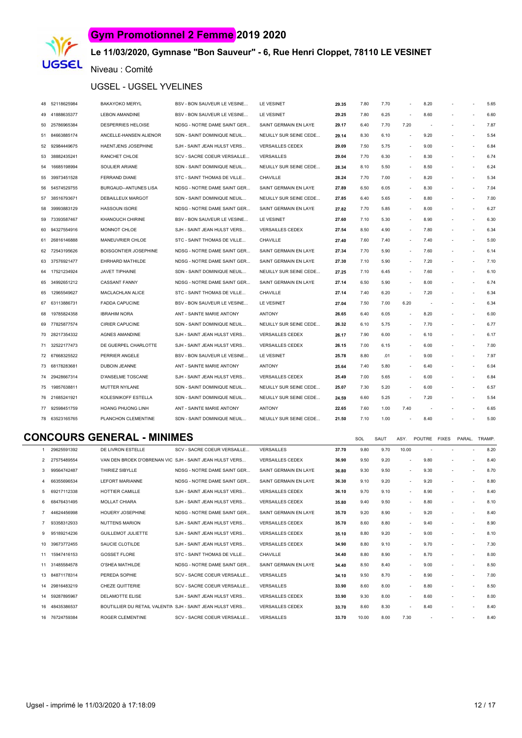

# **Le 11/03/2020, Gymnase "Bon Sauveur" - 6, Rue Henri Cloppet, 78110 LE VESINET**

#### Niveau : Comité

#### UGSEL - UGSEL YVELINES

|    | 48 52118625984 | <b>BAKAYOKO MERYL</b>                                       | BSV - BON SAUVEUR LE VESINE | LE VESINET              | 29.35 | 7.80 | 7.70 | $\sim$                   | 8.20   |        |           | 5.65 |
|----|----------------|-------------------------------------------------------------|-----------------------------|-------------------------|-------|------|------|--------------------------|--------|--------|-----------|------|
|    | 49 41888635377 | <b>LEBON AMANDINE</b>                                       | BSV - BON SAUVEUR LE VESINE | LE VESINET              | 29.25 | 7.80 | 6.25 | ÷,                       | 8.60   | $\sim$ | $\bar{a}$ | 6.60 |
|    | 50 25786965384 | DESPERRIES HELOISE                                          | NDSG - NOTRE DAME SAINT GER | SAINT GERMAIN EN LAYE   | 29.17 | 6.40 | 7.70 | 7.20                     |        |        | $\sim$    | 7.87 |
|    | 51 84663885174 | ANCELLE-HANSEN ALIENOR                                      | SDN - SAINT DOMINIQUE NEUIL | NEUILLY SUR SEINE CEDE  | 29.14 | 8.30 | 6.10 | $\overline{\phantom{a}}$ | 9.20   | $\sim$ | ä,        | 5.54 |
|    | 52 92984449675 | HAENTJENS JOSEPHINE                                         | SJH - SAINT JEAN HULST VERS | <b>VERSAILLES CEDEX</b> | 29.09 | 7.50 | 5.75 | $\overline{\phantom{a}}$ | 9.00   | $\sim$ | $\bar{a}$ | 6.84 |
| 53 | 38882435241    | <b>RANCHET CHLOE</b>                                        | SCV - SACRE COEUR VERSAILLE | <b>VERSAILLES</b>       | 29.04 | 7.70 | 6.30 | $\sim$                   | 8.30   |        | $\bar{a}$ | 6.74 |
|    | 54 16685198994 | SOULIER ARIANE                                              | SDN - SAINT DOMINIQUE NEUIL | NEUILLY SUR SEINE CEDE  | 28.34 | 8.10 | 5.50 | $\sim$                   | 8.50   | $\sim$ | ä,        | 6.24 |
|    | 55 39973451528 | FERRAND DIANE                                               | STC - SAINT THOMAS DE VILLE | CHAVILLE                | 28.24 | 7.70 | 7.00 | $\sim$                   | 8.20   | $\sim$ | $\sim$    | 5.34 |
|    | 56 54574529755 | BURGAUD--ANTUNES LISA                                       | NDSG - NOTRE DAME SAINT GER | SAINT GERMAIN EN LAYE   | 27.89 | 6.50 | 6.05 | $\overline{\phantom{a}}$ | 8.30   |        | $\sim$    | 7.04 |
|    | 57 38516793671 | DEBAILLEUX MARGOT                                           | SDN - SAINT DOMINIQUE NEUIL | NEUILLY SUR SEINE CEDE  | 27.85 | 6.40 | 5.65 | $\sim$                   | 8.80   | $\sim$ | $\sim$    | 7.00 |
| 58 | 39993883129    | <b>HASSOUN ISORE</b>                                        | NDSG - NOTRE DAME SAINT GER | SAINT GERMAIN EN LAYE   | 27.82 | 7.70 | 5.85 | $\overline{\phantom{a}}$ | 8.00   |        | ÷,        | 6.27 |
|    | 59 73393587467 | KHANOUCH CHIRINE                                            | BSV - BON SAUVEUR LE VESINE | LE VESINET              | 27.60 | 7.10 | 5.30 | $\sim$                   | 8.90   |        | $\sim$    | 6.30 |
|    | 60 94327554916 | MONNOT CHLOE                                                | SJH - SAINT JEAN HULST VERS | <b>VERSAILLES CEDEX</b> | 27.54 | 8.50 | 4.90 | $\sim$                   | 7.80   | $\sim$ | $\sim$    | 6.34 |
|    | 61 26816146888 | MANEUVRIER CHLOE                                            | STC - SAINT THOMAS DE VILLE | CHAVILLE                | 27.40 | 7.60 | 7.40 | $\overline{\phantom{a}}$ | 7.40   | $\sim$ | ä,        | 5.00 |
|    | 62 72543195626 | <b>BOISGONTIER JOSEPHINE</b>                                | NDSG - NOTRE DAME SAINT GER | SAINT GERMAIN EN LAYE   | 27.34 | 7.70 | 5.90 | ÷.                       | 7.60   | $\sim$ | ×         | 6.14 |
|    | 63 37576921477 | EHRHARD MATHILDE                                            | NDSG - NOTRE DAME SAINT GER | SAINT GERMAIN EN LAYE   | 27.30 | 7.10 | 5.90 | $\overline{\phantom{a}}$ | 7.20   | $\sim$ | $\sim$    | 7.10 |
|    | 64 17521234924 | <b>JAVET TIPHAINE</b>                                       | SDN - SAINT DOMINIQUE NEUIL | NEUILLY SUR SEINE CEDE  | 27.25 | 7.10 | 6.45 | $\sim$                   | 7.60   |        | $\bar{a}$ | 6.10 |
|    | 65 34992651212 | <b>CASSANT FANNY</b>                                        | NDSG - NOTRE DAME SAINT GER | SAINT GERMAIN EN LAYE   | 27.14 | 6.50 | 5.90 | $\overline{\phantom{a}}$ | 8.00   |        | $\sim$    | 6.74 |
|    | 65 12965549627 | MACLACHLAN ALICE                                            | STC - SAINT THOMAS DE VILLE | CHAVILLE                | 27.14 | 7.40 | 6.20 | $\sim$                   | 7.20   | $\sim$ | $\sim$    | 6.34 |
|    | 67 63113886731 | <b>FADDA CAPUCINE</b>                                       | BSV - BON SAUVEUR LE VESINE | LE VESINET              | 27.04 | 7.50 | 7.00 | 6.20                     |        |        | ä,        | 6.34 |
| 68 | 19785824358    | <b>IBRAHIM NORA</b>                                         | ANT - SAINTE MARIE ANTONY   | <b>ANTONY</b>           | 26.65 | 6.40 | 6.05 | $\overline{\phantom{a}}$ | 8.20   | $\sim$ | $\sim$    | 6.00 |
|    | 69 77825877574 | <b>CIRIER CAPUCINE</b>                                      | SDN - SAINT DOMINIQUE NEUIL | NEUILLY SUR SEINE CEDE  | 26.32 | 6.10 | 5.75 | $\sim$                   | 7.70   | $\sim$ | $\bar{a}$ | 6.77 |
|    | 70 28217354332 | <b>AGNES AMANDINE</b>                                       | SJH - SAINT JEAN HULST VERS | <b>VERSAILLES CEDEX</b> | 26.17 | 7.90 | 6.00 | $\sim$                   | 6.10   |        | à.        | 6.17 |
|    | 71 32522177473 | DE GUERPEL CHARLOTTE                                        | SJH - SAINT JEAN HULST VERS | <b>VERSAILLES CEDEX</b> | 26.15 | 7.00 | 6.15 | $\overline{\phantom{a}}$ | 6.00   |        | $\sim$    | 7.00 |
|    | 72 67668325522 | PERRIER ANGELE                                              | BSV - BON SAUVEUR LE VESINE | LE VESINET              | 25.78 | 8.80 | .01  | ÷,                       | 9.00   |        | ä,        | 7.97 |
|    | 73 68178283681 | DUBOIN JEANNE                                               | ANT - SAINTE MARIE ANTONY   | <b>ANTONY</b>           | 25.64 | 7.40 | 5.80 | $\overline{\phantom{a}}$ | 6.40   |        | ٠         | 6.04 |
|    | 74 29428667314 | <b>D'ANSELME TOSCANE</b>                                    | SJH - SAINT JEAN HULST VERS | <b>VERSAILLES CEDEX</b> | 25.49 | 7.00 | 5.65 | $\sim$                   | 6.00   |        | ä,        | 6.84 |
|    | 75 19857638811 | MUTTER NYILANE                                              | SDN - SAINT DOMINIQUE NEUIL | NEUILLY SUR SEINE CEDE  | 25.07 | 7.30 | 5.20 | ÷.                       | 6.00   | $\sim$ | à.        | 6.57 |
|    | 76 21685241921 | KOLESNIKOFF ESTELLA                                         | SDN - SAINT DOMINIQUE NEUIL | NEUILLY SUR SEINE CEDE  | 24.59 | 6.60 | 5.25 | $\overline{\phantom{a}}$ | 7.20   |        |           | 5.54 |
|    | 77 92598451759 | HOANG PHUONG LINH                                           | ANT - SAINTE MARIE ANTONY   | <b>ANTONY</b>           | 22.65 | 7.60 | 1.00 | 7.40                     | $\sim$ |        | $\bar{a}$ | 6.65 |
|    | 78 63523165765 | PLANCHON CLEMENTINE                                         | SDN - SAINT DOMINIQUE NEUIL | NEUILLY SUR SEINE CEDE  | 21.50 | 7.10 | 1.00 |                          | 8.40   |        |           | 5.00 |
|    | .              | $\bigcap$ $\bigcap$ $\bigcap$ $\bigcap$ $\bigcap$ $\bigcap$ |                             |                         |       |      |      |                          |        |        |           |      |
|    |                |                                                             |                             |                         |       |      |      |                          |        |        |           |      |

#### **CONCOURS GENERAL - MINIMES** SOL SAUT ASY. POUTRE FIXES PARAL. TRAMP

|    | 29625591392    | DE LIVRON ESTELLE                                         | SCV - SACRE COEUR VERSAILLE                             | <b>VERSAILLES</b>       | 37.70 | 9.80  | 9.70 | 10.00  |      |   | ٠                        | 8.20 |
|----|----------------|-----------------------------------------------------------|---------------------------------------------------------|-------------------------|-------|-------|------|--------|------|---|--------------------------|------|
|    | 27575489554    |                                                           | VAN DEN BROEK D'OBRENAN VIC SJH - SAINT JEAN HULST VERS | <b>VERSAILLES CEDEX</b> | 36.90 | 9.50  | 9.20 | $\sim$ | 9.80 |   | $\overline{\phantom{a}}$ | 8.40 |
|    | 99564742487    | THIRIEZ SIBYLLE                                           | NDSG - NOTRE DAME SAINT GER                             | SAINT GERMAIN EN LAYE   | 36.80 | 9.30  | 9.50 | $\sim$ | 9.30 |   |                          | 8.70 |
|    | 66355696534    | <b>LEFORT MARIANNE</b>                                    | NDSG - NOTRE DAME SAINT GER                             | SAINT GERMAIN EN LAYE   | 36.30 | 9.10  | 9.20 | $\sim$ | 9.20 | ٠ |                          | 8.80 |
| 5  | 69217112338    | HOTTIER CAMILLE                                           | SJH - SAINT JEAN HULST VERS                             | <b>VERSAILLES CEDEX</b> | 36.10 | 9.70  | 9.10 | $\sim$ | 8.90 |   |                          | 8.40 |
| 6. | 68476431495    | <b>MOLLAT CHIARA</b>                                      | SJH - SAINT JEAN HULST VERS                             | <b>VERSAILLES CEDEX</b> | 35.80 | 9.40  | 9.50 | $\sim$ | 8.80 | ٠ | ٠                        | 8.10 |
|    | 44624456998    | HOUERY JOSEPHINE                                          | NDSG - NOTRE DAME SAINT GER                             | SAINT GERMAIN EN LAYE   | 35.70 | 9.20  | 8.90 | $\sim$ | 9.20 |   | $\sim$                   | 8.40 |
|    | 93358312933    | <b>NUTTENS MARION</b>                                     | SJH - SAINT JEAN HULST VERS                             | <b>VERSAILLES CEDEX</b> | 35.70 | 8.60  | 8.80 | $\sim$ | 9.40 |   |                          | 8.90 |
| 9  | 95189214236    | <b>GUILLEMOT JULIETTE</b>                                 | SJH - SAINT JEAN HULST VERS                             | <b>VERSAILLES CEDEX</b> | 35.10 | 8.80  | 9.20 | $\sim$ | 9.00 |   |                          | 8.10 |
|    | 10 39673772455 | SAUCIE CLOTILDE                                           | SJH - SAINT JEAN HULST VERS                             | <b>VERSAILLES CEDEX</b> | 34.90 | 8.80  | 9.10 | $\sim$ | 9.70 |   |                          | 7.30 |
|    | 11 15947416153 | <b>GOSSET FLORE</b>                                       | STC - SAINT THOMAS DE VILLE                             | CHAVILLE                | 34.40 | 8.80  | 8.90 | $\sim$ | 8.70 |   | $\overline{\phantom{a}}$ | 8.00 |
|    | 11 31485584578 | O'SHEA MATHILDE                                           | NDSG - NOTRE DAME SAINT GER                             | SAINT GERMAIN EN LAYE   | 34.40 | 8.50  | 8.40 | $\sim$ | 9.00 |   |                          | 8.50 |
|    | 13 84871178314 | PEREDA SOPHIE                                             | SCV - SACRE COEUR VERSAILLE                             | <b>VERSAILLES</b>       | 34.10 | 9.50  | 8.70 | $\sim$ | 8.90 | ٠ | $\overline{\phantom{a}}$ | 7.00 |
|    | 14 29816483219 | CHEZE QUITTERIE                                           | SCV - SACRE COEUR VERSAILLE                             | <b>VERSAILLES</b>       | 33.90 | 8.60  | 8.00 | $\sim$ | 8.80 |   |                          | 8.50 |
|    | 14 59287895967 | <b>DELAMOTTE ELISE</b>                                    | SJH - SAINT JEAN HULST VERS                             | <b>VERSAILLES CEDEX</b> | 33.90 | 9.30  | 8.00 | $\sim$ | 8.60 |   |                          | 8.00 |
|    | 16 48435386537 | BOUTILLIER DU RETAIL VALENTIN SJH - SAINT JEAN HULST VERS |                                                         | <b>VERSAILLES CEDEX</b> | 33.70 | 8.60  | 8.30 |        | 8.40 |   |                          | 8.40 |
|    | 16 76724759384 | <b>ROGER CLEMENTINE</b>                                   | SCV - SACRE COEUR VERSAILLE                             | VERSAILLES              | 33.70 | 10.00 | 8.00 | 7.30   |      |   |                          | 8.40 |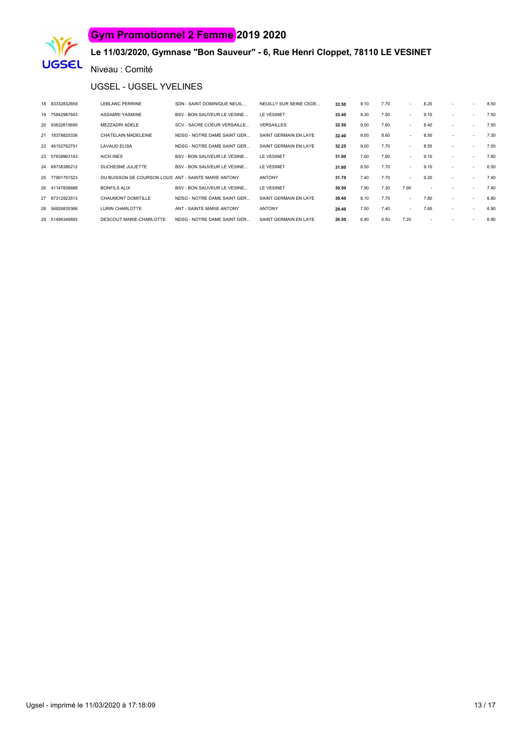

# **Le 11/03/2020, Gymnase "Bon Sauveur" - 6, Rue Henri Cloppet, 78110 LE VESINET**

Niveau : Comité

#### UGSEL - UGSEL YVELINES

| 18 83332832659 | <b>LEBLANC PERRINE</b>                                | SDN - SAINT DOMINIQUE NEUIL        | NEUILLY SUR SEINE CEDE | 33.50 | 9.10 | 7.70 | $\sim$ | 8.20 |   | $\sim$ | 8.50 |
|----------------|-------------------------------------------------------|------------------------------------|------------------------|-------|------|------|--------|------|---|--------|------|
| 19 75842987643 | ASSAMRI YASMINE                                       | <b>BSV - BON SAUVEUR LE VESINE</b> | LE VESINET             | 33.40 | 9.30 | 7.50 | $\sim$ | 9.10 |   | ٠      | 7.50 |
| 20 93632815695 | MFZZADRI ADFLF                                        | SCV - SACRE COEUR VERSAILLE        | <b>VERSAILLES</b>      | 32.50 | 9.00 | 7.60 | $\sim$ | 8.40 |   |        | 7.50 |
| 21 18378825336 | CHATELAIN MADELEINE                                   | NDSG - NOTRE DAME SAINT GER        | SAINT GERMAIN EN LAYE  | 32.40 | 8.00 | 8.60 | $\sim$ | 8.50 |   | ٠      | 7.30 |
| 22 46152762751 | <b>LAVAUD ELISA</b>                                   | NDSG - NOTRE DAME SAINT GER        | SAINT GERMAIN EN LAYE  | 32.25 | 9.00 | 7.70 | $\sim$ | 8.55 | ٠ | ٠      | 7.00 |
| 23 57639963143 | AICH INES                                             | BSV - BON SAUVEUR LE VESINE        | LE VESINET             | 31.90 | 7.60 | 7.60 | $\sim$ | 9.10 |   |        | 7.60 |
| 24 69738386212 | DUCHESNE JULIETTE                                     | <b>BSV - BON SAUVEUR LE VESINE</b> | LE VESINET             | 31.80 | 8.50 | 7.70 | $\sim$ | 9.10 | ٠ | $\sim$ | 6.50 |
| 25 77991791523 | DU BUISSON DE COURSON LOUIS ANT - SAINTE MARIE ANTONY |                                    | <b>ANTONY</b>          | 31.70 | 7.40 | 7.70 | $\sim$ | 9.20 |   |        | 7.40 |
| 26 41147838688 | <b>BONFILS ALIX</b>                                   | BSV - BON SAUVEUR LE VESINE        | LE VESINET             | 30.50 | 7.90 | 7.30 | 7.90   |      |   |        | 7.40 |
| 27 87312923513 | CHAUMONT DOMITILLE                                    | NDSG - NOTRE DAME SAINT GER        | SAINT GERMAIN EN LAYE  | 30.40 | 8.10 | 7.70 | $\sim$ | 7.80 |   |        | 6.80 |
| 28 56926835366 | LURIN CHARLOTTE                                       | ANT - SAINTE MARIE ANTONY          | <b>ANTONY</b>          | 29.40 | 7.50 | 7.40 | $\sim$ | 7.60 | ٠ | ٠      | 6.90 |
| 29 51496346893 | DESCOUT MARIE-CHARLOTTE                               | NDSG - NOTRE DAME SAINT GER        | SAINT GERMAIN EN LAYE  | 26.50 | 6.90 | 5.50 | 7.20   |      |   |        | 6.90 |
|                |                                                       |                                    |                        |       |      |      |        |      |   |        |      |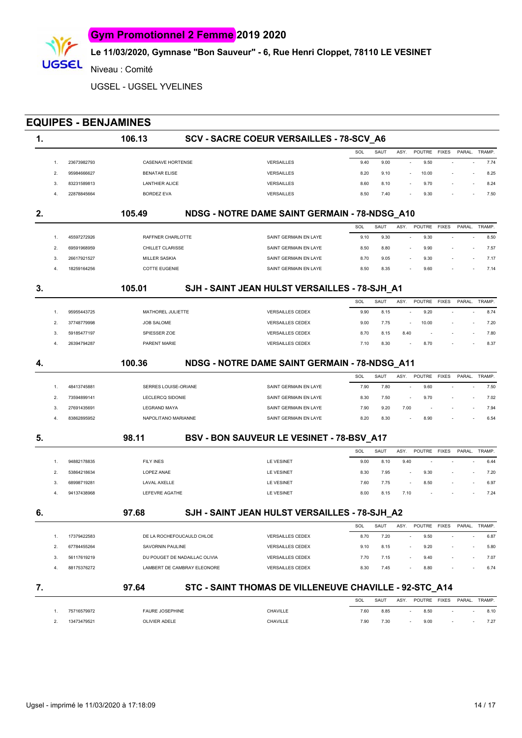

Niveau : Comité

IGSEL

UGSEL - UGSEL YVELINES

# **EQUIPES - BENJAMINES 1. 106.13 SCV - SACRE COEUR VERSAILLES - 78-SCV\_A6**

|             |                       |                   | SOL  | SAUT | ASY | POUTRE | <b>FIXES</b> | PARAL.                   | TRAMP. |  |
|-------------|-----------------------|-------------------|------|------|-----|--------|--------------|--------------------------|--------|--|
| 23673982793 | CASENAVE HORTENSE     | <b>VERSAILLES</b> | 9.40 | 9.00 |     | 9.50   | $\sim$       | $\overline{\phantom{a}}$ | 7.74   |  |
| 95984666627 | <b>BENATAR ELISE</b>  | <b>VERSAILLES</b> | 8.20 | 9.10 |     | 10.00  | $\sim$       | $\sim$                   | 8.25   |  |
| 83231589813 | <b>LANTHIER ALICE</b> | <b>VERSAILLES</b> | 8.60 | 8.10 |     | 9.70   | $\sim$       | $\sim$                   | 8.24   |  |
| 22878845664 | <b>BORDEZ EVA</b>     | <b>VERSAILLES</b> | 8.50 | 7.40 | -   | 9.30   | $\sim$       |                          | 7.50   |  |

#### **2. 105.49 NDSG - NOTRE DAME SAINT GERMAIN - 78-NDSG\_A10** SOL SAUT ASY. POUTRE FIXES PARAL. TRAMP. 1. 45597272926 RAFFNER CHARLOTTE SAINT GERMAIN EN LAYE 9.10 9.30 - 9.30 - - 8.50 2. 69591968959 CHILLET CLARISSE SAINT GERMAIN EN LAYE 8.50 8.80 - 9.90 - - 7.57

| 69591968959 | CHILLET CLARISSE     | SAINT GERMAIN EN LAYE | 8.50 | 8.80 | 9.90 | $\sim$                   | 7.57 |
|-------------|----------------------|-----------------------|------|------|------|--------------------------|------|
| 26617921527 | MILLER SASKIA        | SAINT GERMAIN EN LAYE | 8.70 | 9.05 | 9.30 | $\sim$                   |      |
| 18259164256 | <b>COTTE EUGENIE</b> | SAINT GERMAIN EN LAYE | 8.50 | 8.35 | 9.60 | $\overline{\phantom{a}}$ | 7.14 |

#### **3. 105.01 SJH - SAINT JEAN HULST VERSAILLES - 78-SJH\_A1**

|  |             |                   |                         | SOL  | SAUT | ASY    | POUTRE FIXES |                          | PARAL. | TRAMP. |
|--|-------------|-------------------|-------------------------|------|------|--------|--------------|--------------------------|--------|--------|
|  | 95955443725 | MATHOREL JULIETTE | <b>VERSAILLES CEDEX</b> | 9.90 | 8.15 | $\sim$ | 9.20         | $\overline{\phantom{0}}$ |        | 8.74   |
|  | 37748779998 | <b>JOB SALOME</b> | <b>VERSAILLES CEDEX</b> | 9.00 | 7.75 |        | 10.00        | $\sim$                   |        | 7.20   |
|  | 59185477197 | SPIESSER ZOE      | <b>VERSAILLES CEDEX</b> | 8.70 | 8.15 | 8.40   | $\sim$       | $\sim 100$               | $\sim$ | 7.80   |
|  | 26394794287 | PARENT MARIE      | <b>VERSAILLES CEDEX</b> |      | 8.30 | . .    | 8.70         | $\sim$                   | $\sim$ | 8.37   |

#### **4. 100.36 NDSG - NOTRE DAME SAINT GERMAIN - 78-NDSG\_A11** SOL SAUT ASY. POUTRE FIXES PARAL. TRAMP. 1. 48413745881 SERRES LOUISE-ORIANE SAINT GERMAIN EN LAYE 7.90 7.80 - 9.60 - - 7.50 2. 73594899141 LECLERCO SIDONIE SAINT GERMAIN EN LAYE 8.30 7.50 - 9.70 - - 7.02 3. 27691435691 LEGRAND MAYA SAINT GERMAIN EN LAYE 7.90 9.20 7.00 - - - 7.94 4. 83862895952 NAPOLITANO MARIANNE NARIANNE SAINT GERMAIN EN LAYE 8.20 8.30 - 8.90 - - 6.54

# **5. 98.11 BSV - BON SAUVEUR LE VESINET - 78-BSV\_A17** SOL SAUT ASY. POUTRE FIXES PARAL. TRAMP.

|  | 94882178835 | <b>FILY INES</b> | <b>LE VESINET</b> | 9.00 | 8.10 | 9.40   | $\sim$ | $\sim$ $\sim$ | $\sim$                   | 6.44 |
|--|-------------|------------------|-------------------|------|------|--------|--------|---------------|--------------------------|------|
|  | 53864218634 | LOPEZ ANAE       | <b>LE VESINET</b> | 8.30 | 7.95 | $\sim$ | 9.30   |               | -                        | 7.20 |
|  | 68998719281 | LAVAL AXELLE     | <b>LE VESINET</b> | 7.60 | 7.75 | $\sim$ | 8.50   | $\sim$        | $\overline{\phantom{a}}$ | 6.97 |
|  | 94137438968 | LEFEVRE AGATHE   | <b>LE VESINET</b> | 8.00 | 8.15 | 7.10   | $\sim$ | $\sim$ $-$    | $\overline{\phantom{a}}$ | 7.24 |
|  |             |                  |                   |      |      |        |        |               |                          |      |

# **6. 97.68 SJH - SAINT JEAN HULST VERSAILLES - 78-SJH\_A2**

|    |             |                               |                         | SOL  | SAUT | ASY    | POUTRE | <b>FIXES</b>             | PARAL  | TRAMP. |
|----|-------------|-------------------------------|-------------------------|------|------|--------|--------|--------------------------|--------|--------|
|    | 17379422583 | DE LA ROCHEFOUCAULD CHLOF     | VERSAILLES CEDEX        | 8.70 | 7.20 |        | 9.50   | $\sim$                   |        | 6.87   |
|    | 67784455264 | SAVORNIN PAULINE              | VERSAILLES CEDEX        | 9.10 | 8.15 | $\sim$ | 9.20   | $\sim$                   | $\sim$ | 5.80   |
| 3. | 56117619219 | DU POUGET DE NADAILLAC OLIVIA | VERSAILLES CEDEX        | 7.70 | 7.15 | $\sim$ | 9.40   | $\overline{\phantom{a}}$ | $\sim$ | 7.07   |
|    | 88175376272 | LAMBERT DE CAMBRAY ELEONORE   | <b>VERSAILLES CEDEX</b> | 8.30 | 7.45 | . .    | 8.80   | . .                      |        | 6.74   |
|    |             |                               |                         |      |      |        |        |                          |        |        |

| 97.64       |                        | STC - SAINT THOMAS DE VILLENEUVE CHAVILLE - 92-STC_A14 |      |      |      |              |        |        |
|-------------|------------------------|--------------------------------------------------------|------|------|------|--------------|--------|--------|
|             |                        |                                                        | SOL  | SAUT | ASY. | POUTRE FIXES | PARAL. | TRAMP. |
| 75716579972 | <b>FAURE JOSEPHINE</b> | CHAVILLE                                               | 7.60 | 8.85 |      | 8.50         |        | 8.10   |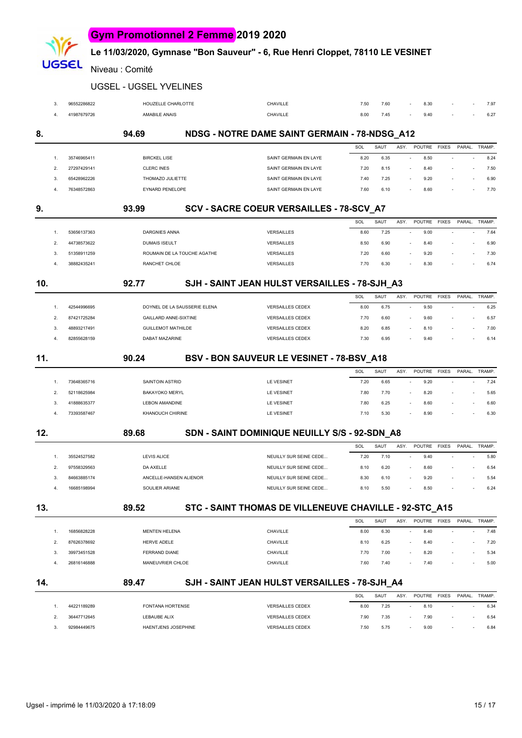# **Le 11/03/2020, Gymnase "Bon Sauveur" - 6, Rue Henri Cloppet, 78110 LE VESINET**

Niveau : Comité

JGSEL

UGSEL - UGSEL YVELINES

|     | 3              | 96552286822 |                           | HOUZELLE CHARLOTTE           | CHAVILLE                                               | 7.50 | 7.60 |      | 8.30                             |              |        | 7.97           |
|-----|----------------|-------------|---------------------------|------------------------------|--------------------------------------------------------|------|------|------|----------------------------------|--------------|--------|----------------|
|     | $\overline{4}$ | 41987679726 | AMABILE ANAIS             |                              | CHAVILLE                                               | 8.00 | 7.45 |      | 9.40                             |              |        | 6.27           |
| 8.  |                |             | 94.69                     |                              | NDSG - NOTRE DAME SAINT GERMAIN - 78-NDSG_A12          |      |      |      |                                  |              |        |                |
|     |                |             |                           |                              |                                                        | SOL  | SAUT | ASY. | <b>POUTRE</b>                    | <b>FIXES</b> |        | PARAL. TRAMP.  |
|     | 1.             | 35746965411 | <b>BIRCKEL LISE</b>       |                              | SAINT GERMAIN EN LAYE                                  | 8.20 | 6.35 |      | 8.50<br>$\sim$                   |              |        | 8.24           |
|     | 2.             | 27297429141 | <b>CLERC INES</b>         |                              | SAINT GERMAIN EN LAYE                                  | 7.20 | 8.15 |      | 8.40<br>$\sim$                   |              |        | 7.50           |
|     | 3.             | 65428962226 | THOMAZO JULIETTE          |                              | SAINT GERMAIN EN LAYE                                  | 7.40 | 7.25 |      | 9.20                             |              |        | 6.90           |
|     | 4.             | 76348572863 | <b>EYNARD PENELOPE</b>    |                              | SAINT GERMAIN EN LAYE                                  | 7.60 | 6.10 |      | 8.60                             |              |        | 7.70           |
| 9.  |                |             | 93.99                     |                              | SCV - SACRE COEUR VERSAILLES - 78-SCV_A7               |      |      |      |                                  |              |        |                |
|     |                |             |                           |                              |                                                        | SOL  | SAUT | ASY. | POUTRE                           | <b>FIXES</b> |        | PARAL. TRAMP.  |
|     | 1.             | 53656137363 | <b>DARGNIES ANNA</b>      |                              | VERSAILLES                                             | 8.60 | 7.25 |      | 9.00<br>÷,                       |              |        | 7.64           |
|     | 2.             | 44738573622 | <b>DUMAIS ISEULT</b>      |                              | <b>VERSAILLES</b>                                      | 8.50 | 6.90 |      | 8.40                             |              |        | 6.90           |
|     | 3.             | 51358911259 |                           | ROUMAIN DE LA TOUCHE AGATHE  | <b>VERSAILLES</b>                                      | 7.20 | 6.60 |      | 9.20                             |              |        | 7.30           |
|     | 4.             | 38882435241 | RANCHET CHLOE             |                              | <b>VERSAILLES</b>                                      | 7.70 | 6.30 |      | 8.30                             |              |        | 6.74           |
| 10. |                |             | 92.77                     |                              | SJH - SAINT JEAN HULST VERSAILLES - 78-SJH_A3          |      |      |      |                                  |              |        |                |
|     |                |             |                           |                              |                                                        | SOL  | SAUT | ASY. | POUTRE                           | <b>FIXES</b> | PARAL. | TRAMP.         |
|     | 1.             | 42544996695 |                           | DOYNEL DE LA SAUSSERIE ELENA | <b>VERSAILLES CEDEX</b>                                | 8.00 | 6.75 |      | 9.50<br>$\sim$                   |              |        | 6.25<br>$\sim$ |
|     | 2.             | 87421725284 |                           | <b>GAILLARD ANNE-SIXTINE</b> | <b>VERSAILLES CEDEX</b>                                | 7.70 | 6.60 |      | 9.60                             |              |        | 6.57           |
|     | 3.             | 48893217491 | <b>GUILLEMOT MATHILDE</b> |                              | <b>VERSAILLES CEDEX</b>                                | 8.20 | 6.85 |      | 8.10                             |              |        | 7.00           |
|     | 4.             | 82855628159 | DABAT MAZARINE            |                              | <b>VERSAILLES CEDEX</b>                                | 7.30 | 6.95 |      | 9.40                             |              |        | 6.14           |
| 11. |                |             | 90.24                     |                              | BSV - BON SAUVEUR LE VESINET - 78-BSV_A18              |      |      |      |                                  |              |        |                |
|     |                |             |                           |                              |                                                        | SOL  | SAUT | ASY. | POUTRE FIXES                     |              |        | PARAL. TRAMP.  |
|     | 1.             | 73648365716 | SAINTOIN ASTRID           |                              | <b>LE VESINET</b>                                      | 7.20 | 6.65 |      | 9.20<br>÷,                       |              |        | 7.24           |
|     | 2.             | 52118625984 | <b>BAKAYOKO MERYL</b>     |                              | <b>LE VESINET</b>                                      | 7.80 | 7.70 |      | 8.20                             |              |        | 5.65           |
|     | 3.             | 41888635377 | <b>LEBON AMANDINE</b>     |                              | <b>LE VESINET</b>                                      | 7.80 | 6.25 |      | 8.60                             |              |        | 6.60           |
|     | 4.             | 73393587467 | <b>KHANOUCH CHIRINE</b>   |                              | LE VESINET                                             | 7.10 | 5.30 |      | 8.90                             |              |        | 6.30           |
| 12. |                |             | 89.68                     |                              | SDN - SAINT DOMINIQUE NEUILLY S/S - 92-SDN_A8          |      |      |      |                                  |              |        |                |
|     |                |             |                           |                              |                                                        | SOL  | SAUT | ASY. | POUTRE                           | <b>FIXES</b> | PARAL. | TRAMP.         |
|     | 1.             | 35524527582 | <b>LEVIS ALICE</b>        |                              | NEUILLY SUR SEINE CEDE                                 | 7.20 | 7.10 |      | 9.40<br>$\sim$                   |              |        | 5.80           |
|     | 2.             | 97558329563 | DA AXELLE                 |                              | NEUILLY SUR SEINE CEDE                                 | 8.10 | 6.20 |      | 8.60                             |              |        | 6.54           |
|     | 3.             | 84663885174 |                           | ANCELLE-HANSEN ALIENOR       | NEUILLY SUR SEINE CEDE                                 | 8.30 | 6.10 |      | 9.20                             |              |        | 5.54           |
|     |                | 16685198994 | SOULIER ARIANE            |                              | NEUILLY SUR SEINE CEDE                                 | 8.10 | 5.50 |      | 8.50                             |              |        | 6.24           |
| 13. |                |             | 89.52                     |                              | STC - SAINT THOMAS DE VILLENEUVE CHAVILLE - 92-STC_A15 |      |      |      |                                  |              |        |                |
|     |                |             |                           |                              |                                                        | SOL  | SAUT | ASY. | POUTRE FIXES                     |              |        | PARAL. TRAMP.  |
|     | 1.             | 16856828228 | <b>MENTEN HELENA</b>      |                              | CHAVILLE                                               | 8.00 | 6.30 |      | 8.40<br>$\overline{\phantom{a}}$ |              |        | 7.48           |
|     | 2.             | 87626378692 | HERVE ADELE               |                              | CHAVILLE                                               | 8.10 | 6.25 |      | 8.40                             |              |        | 7.20           |
|     | 3.             | 39973451528 | FERRAND DIANE             |                              | CHAVILLE                                               | 7.70 | 7.00 |      | 8.20                             |              |        | 5.34           |
|     | 4.             | 26816146888 | MANEUVRIER CHLOE          |                              | CHAVILLE                                               | 7.60 | 7.40 |      | 7.40                             |              |        | 5.00           |
| 14. |                |             | 89.47                     |                              | SJH - SAINT JEAN HULST VERSAILLES - 78-SJH_A4          |      |      |      |                                  |              |        |                |
|     |                |             |                           |                              |                                                        | SOL  | SAUT | ASY. | POUTRE FIXES                     |              |        | PARAL. TRAMP.  |
|     | 1.             | 44221189289 | <b>FONTANA HORTENSE</b>   |                              | <b>VERSAILLES CEDEX</b>                                | 8.00 | 7.25 |      | 8.10                             |              |        | 6.34           |
|     | 2.             | 36447712645 | LEBAUBE ALIX              |                              | <b>VERSAILLES CEDEX</b>                                | 7.90 | 7.35 |      | 7.90                             |              |        | 6.54           |
|     | 3.             | 92984449675 |                           | HAENTJENS JOSEPHINE          | <b>VERSAILLES CEDEX</b>                                | 7.50 | 5.75 |      | 9.00                             |              |        | 6.84           |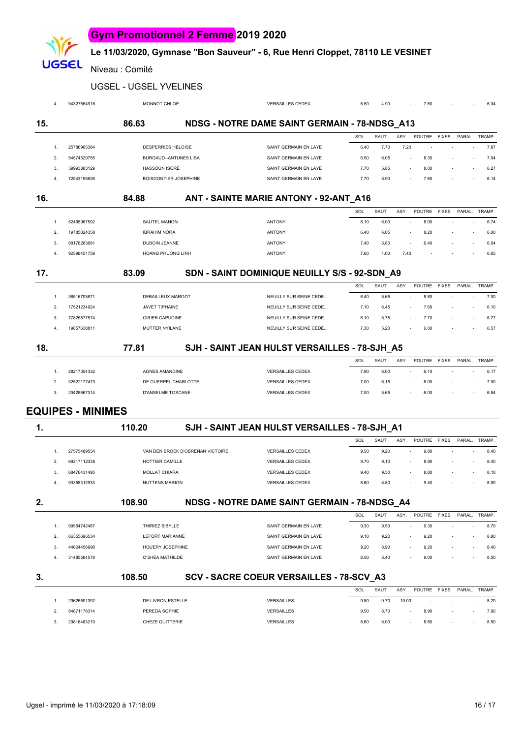# **Le 11/03/2020, Gymnase "Bon Sauveur" - 6, Rue Henri Cloppet, 78110 LE VESINET**

Niveau : Comité

**UGSEL** 

#### UGSEL - UGSEL YVELINES

| 4.               | 94327554916              | <b>MONNOT CHLOE</b>          | <b>VERSAILLES CEDEX</b>                       | 8.50 | 4.90 |        | 7.80          |              |        | 6.34          |
|------------------|--------------------------|------------------------------|-----------------------------------------------|------|------|--------|---------------|--------------|--------|---------------|
| 15.              |                          | 86.63                        | NDSG - NOTRE DAME SAINT GERMAIN - 78-NDSG_A13 |      |      |        |               |              |        |               |
|                  |                          |                              |                                               | SOL  | SAUT | ASY.   | POUTRE        | <b>FIXES</b> | PARAL. | TRAMP.        |
| $\overline{1}$ . | 25786965384              | DESPERRIES HELOISE           | SAINT GERMAIN EN LAYE                         | 6.40 | 7.70 | 7.20   |               |              |        | 7.87          |
| 2.               | 54574529755              | <b>BURGAUD--ANTUNES LISA</b> | SAINT GERMAIN EN LAYE                         | 6.50 | 6.05 | $\sim$ | 8.30          |              | $\sim$ | 7.04          |
| 3.               | 39993883129              | <b>HASSOUN ISORE</b>         | SAINT GERMAIN EN LAYE                         | 7.70 | 5.85 |        | 8.00          |              |        | 6.27          |
| 4.               | 72543195626              | BOISGONTIER JOSEPHINE        | SAINT GERMAIN EN LAYE                         | 7.70 | 5.90 |        | 7.60          |              |        | 6.14          |
| 16.              |                          | 84.88                        | ANT - SAINTE MARIE ANTONY - 92-ANT_A16        |      |      |        |               |              |        |               |
|                  |                          |                              |                                               | SOL  | SAUT | ASY.   | POUTRE        | <b>FIXES</b> |        | PARAL. TRAMP. |
| 1.               | 52495967592              | <b>SAUTEL MANON</b>          | <b>ANTONY</b>                                 | 8.10 | 6.00 |        | 8.90          |              |        | 6.74          |
| 2.               | 19785824358              | <b>IBRAHIM NORA</b>          | <b>ANTONY</b>                                 | 6.40 | 6.05 |        | 8.20          |              | $\sim$ | 6.00          |
| 3.               | 68178283681              | <b>DUBOIN JEANNE</b>         | <b>ANTONY</b>                                 | 7.40 | 5.80 |        | 6.40          |              | $\sim$ | 6.04          |
| 4.               | 92598451759              | HOANG PHUONG LINH            | <b>ANTONY</b>                                 | 7.60 | 1.00 | 7.40   |               |              |        | 6.65          |
| 17.              |                          | 83.09                        | SDN - SAINT DOMINIQUE NEUILLY S/S - 92-SDN_A9 | SOL  | SAUT | ASY.   | <b>POUTRE</b> | <b>FIXES</b> |        | PARAL. TRAMP. |
| 1.               | 38516793671              | DEBAILLEUX MARGOT            | NEUILLY SUR SEINE CEDE                        | 6.40 | 5.65 |        | 8.80          |              |        | 7.00          |
| 2.               | 17521234924              | <b>JAVET TIPHAINE</b>        | NEUILLY SUR SEINE CEDE                        | 7.10 | 6.45 |        | 7.60          |              |        | 6.10          |
| 3.               | 77825877574              | <b>CIRIER CAPUCINE</b>       | NEUILLY SUR SEINE CEDE                        | 6.10 | 5.75 |        | 7.70          |              | $\sim$ | 6.77          |
| 4.               | 19857638811              | MUTTER NYILANE               | NEUILLY SUR SEINE CEDE                        | 7.30 | 5.20 |        | 6.00          |              |        | 6.57          |
| 18.              |                          | 77.81                        | SJH - SAINT JEAN HULST VERSAILLES - 78-SJH_A5 |      |      |        |               |              |        |               |
|                  |                          |                              |                                               | SOL  | SAUT | ASY.   | POUTRE        | <b>FIXES</b> |        | PARAL. TRAMP. |
| 1.               | 28217354332              | <b>AGNES AMANDINE</b>        | <b>VERSAILLES CEDEX</b>                       | 7.90 | 6.00 | $\sim$ | 6.10          |              |        | 6.17          |
| 2.               | 32522177473              | DE GUERPEL CHARLOTTE         | <b>VERSAILLES CEDEX</b>                       | 7.00 | 6.15 |        | 6.00          |              | $\sim$ | 7.00          |
| 3.               | 29428667314              | D'ANSELME TOSCANE            | <b>VERSAILLES CEDEX</b>                       | 7.00 | 5.65 |        | 6.00          |              |        | 6.84          |
|                  | <b>EQUIPES - MINIMES</b> |                              |                                               |      |      |        |               |              |        |               |
| 1.               |                          | 110.20                       | SJH - SAINT JEAN HULST VERSAILLES - 78-SJH A1 |      |      |        |               |              |        |               |
|                  |                          |                              |                                               | SOL  | SAUT | ASY.   | POUTRE FIXES  |              |        | PARAL. TRAMP. |

|  | 27575489554 | VAN DEN BROEK D'OBRENAN VICTOIRE | <b>VERSAILLES CEDEX</b> | 9.50 | 9.20 | 9.80 | $\overline{\phantom{a}}$ |   | 8.40 |
|--|-------------|----------------------------------|-------------------------|------|------|------|--------------------------|---|------|
|  | 69217112338 | HOTTIER CAMILLE                  | <b>VERSAILLES CEDEX</b> | 9.70 | 9.10 | 8.90 | $\sim$                   |   | 8.40 |
|  | 68476431495 | MOLLAT CHIARA                    | <b>VERSAILLES CEDEX</b> | 9.40 | 9.50 | 8.80 | $\overline{\phantom{a}}$ |   | 8.10 |
|  | 93358312933 | NUTTENS MARION                   | <b>VERSAILLES CEDEX</b> | 8.60 | 8.80 | 9.40 | $\overline{\phantom{0}}$ | - | 8.90 |
|  |             |                                  |                         |      |      |      |                          |   |      |

| 2. |                |             | 108.90                 | NDSG - NOTRE DAME SAINT GERMAIN - 78-NDSG A4 |            |      |      |                |              |        |        |
|----|----------------|-------------|------------------------|----------------------------------------------|------------|------|------|----------------|--------------|--------|--------|
|    |                |             |                        |                                              | <b>SOL</b> | SAUT | ASY. | POUTRE         | <b>FIXES</b> | PARAL. | TRAMP. |
|    |                | 99564742487 | THIRIFZ SIBYLLE        | SAINT GERMAIN EN LAYE                        | 9.30       | 9.50 |      | 9.30<br>$\sim$ |              |        | 8.70   |
|    | $\overline{2}$ | 66355696534 | <b>LEFORT MARIANNE</b> | SAINT GERMAIN EN LAYE                        | 9.10       | 9.20 |      | 9.20<br>$\sim$ |              |        | 8.80   |
|    | 3.             | 44624456998 | HOUERY JOSEPHINE       | SAINT GERMAIN EN LAYE                        | 9.20       | 8.90 |      | 9.20<br>$\sim$ |              |        | 8.40   |
|    | 4.             | 31485584578 | O'SHEA MATHILDE        | SAINT GERMAIN EN LAYE                        | 8.50       | 8.40 |      | 9.00<br>$\sim$ |              |        | 8.50   |
|    |                |             |                        |                                              |            |      |      |                |              |        |        |
| 3. |                |             | 108.50                 | SCV - SACRE COEUR VERSAILLES - 78-SCV A3     |            |      |      |                |              |        |        |

|             |                   |                   | SOL  | SAUT | ASY.             | POUTRE FIXES |        | PARAL.                   | TRAMP. |
|-------------|-------------------|-------------------|------|------|------------------|--------------|--------|--------------------------|--------|
| 29625591392 | DE LIVRON ESTELLE | <b>VERSAILLES</b> | 9.80 | 9.70 | 10.00            | $\sim$       | $\sim$ | $\overline{\phantom{a}}$ | 8.20   |
| 84871178314 | PEREDA SOPHIE     | <b>VERSAILLES</b> | 9.50 | 8.70 | <b>CONTINUES</b> | 8.90         | $\sim$ | $\sim$                   | 7.00   |
| 29816483219 | CHEZE QUITTERIE   | <b>VERSAILLES</b> | 8.60 | 8.00 |                  | 8.80         | $\sim$ |                          | 8.50   |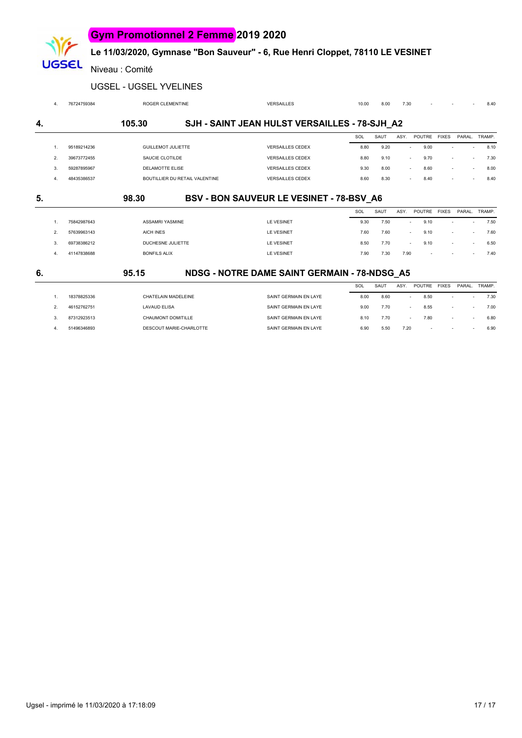#### **Le 11/03/2020, Gymnase "Bon Sauveur" - 6, Rue Henri Cloppet, 78110 LE VESINET**

Niveau : Comité

**UGSEL** 

|  |  | UGSEL - UGSEL YVELINES |
|--|--|------------------------|
|--|--|------------------------|

|    | 4. | 76724759384 | <b>ROGER CLEMENTINE</b>        | <b>VERSAILLES</b>                             | 10.00 | 8.00 | 7.30   |        |              |                          | 8.40   |
|----|----|-------------|--------------------------------|-----------------------------------------------|-------|------|--------|--------|--------------|--------------------------|--------|
| 4. |    |             | 105.30                         | SJH - SAINT JEAN HULST VERSAILLES - 78-SJH A2 |       |      |        |        |              |                          |        |
|    |    |             |                                |                                               | SOL   | SAUT | ASY.   | POUTRE | <b>FIXES</b> | PARAL.                   | TRAMP. |
|    | 1. | 95189214236 | <b>GUILLEMOT JULIETTE</b>      | <b>VERSAILLES CEDEX</b>                       | 8.80  | 9.20 | $\sim$ | 9.00   |              | $\sim$                   | 8.10   |
|    | 2. | 39673772455 | SAUCIE CLOTILDE                | <b>VERSAILLES CEDEX</b>                       | 8.80  | 9.10 | $\sim$ | 9.70   |              | $\overline{\phantom{a}}$ | 7.30   |
|    | 3. | 59287895967 | DELAMOTTE ELISE                | <b>VERSAILLES CEDEX</b>                       | 9.30  | 8.00 | $\sim$ | 8.60   | ÷.           | $\sim$                   | 8.00   |
|    | 4. | 48435386537 | BOUTILLIER DU RETAIL VALENTINE | <b>VERSAILLES CEDEX</b>                       | 8.60  | 8.30 |        | 8.40   |              |                          | 8.40   |
| 5. |    |             | 98.30                          | BSV - BON SAUVEUR LE VESINET - 78-BSV A6      |       |      |        |        |              |                          |        |
|    |    |             |                                |                                               | SOL   | SAUT | ASY.   | POUTRE | <b>FIXES</b> | PARAL.                   | TRAMP. |
|    | 1. | 75842987643 | <b>ASSAMRI YASMINE</b>         | <b>LE VESINET</b>                             | 9.30  | 7.50 |        | 9.10   |              | $\sim$                   | 7.50   |
|    | 2. | 57639963143 | <b>AICH INES</b>               | <b>LE VESINET</b>                             | 7.60  | 7.60 | $\sim$ | 9.10   |              | $\sim$                   | 7.60   |
|    | 3. | 69738386212 | DUCHESNE JULIETTE              | <b>LE VESINET</b>                             | 8.50  | 7.70 |        | 9.10   | ÷.           | $\sim$                   | 6.50   |
|    | 4. | 41147838688 | <b>BONFILS ALIX</b>            | <b>LE VESINET</b>                             | 7.90  | 7.30 | 7.90   |        |              |                          | 7.40   |
| 6. |    |             | 95.15                          | NDSG - NOTRE DAME SAINT GERMAIN - 78-NDSG A5  |       |      |        |        |              |                          |        |
|    |    |             |                                |                                               | SOL   | SAUT | ASY.   | POUTRE | <b>FIXES</b> | PARAL.                   | TRAMP. |
|    | 1. | 18378825336 | CHATELAIN MADELEINE            | SAINT GERMAIN EN LAYE                         | 8.00  | 8.60 |        | 8.50   |              |                          | 7.30   |
|    | 2. | 46152762751 | <b>LAVAUD ELISA</b>            | SAINT GERMAIN EN LAYE                         | 9.00  | 7.70 | $\sim$ | 8.55   |              | $\sim$                   | 7.00   |
|    | 3. | 87312923513 | CHAUMONT DOMITILLE             | SAINT GERMAIN EN LAYE                         | 8.10  | 7.70 |        | 7.80   |              | $\sim$                   | 6.80   |
|    | 4. | 51496346893 | DESCOUT MARIE-CHARLOTTE        | SAINT GERMAIN EN LAYE                         | 6.90  | 5.50 | 7.20   |        |              | $\sim$                   | 6.90   |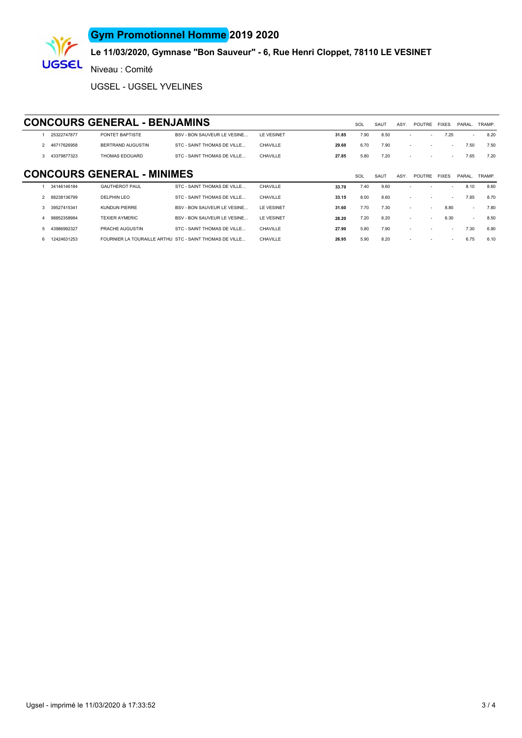### **Gym Promotionnel Homme 2019 2020**



### **Le 11/03/2020, Gymnase "Bon Sauveur" - 6, Rue Henri Cloppet, 78110 LE VESINET**

Niveau : Comité

UGSEL - UGSEL YVELINES

#### **CONCOURS GENERAL - BENJAMINS** SOL SAUT ASY. POUTRE FIXES PARAL. TRAMP

|    | 25322747877   | PONTET BAPTISTE                   | <b>BSV - BON SAUVEUR LE VESINE</b>                      | LE VESINET | 31.85 | 7.90 | 8.50 |        |        | 7.25                     | ÷.     | 8.20   |
|----|---------------|-----------------------------------|---------------------------------------------------------|------------|-------|------|------|--------|--------|--------------------------|--------|--------|
|    | 2 46717626958 | BERTRAND AUGUSTIN                 | STC - SAINT THOMAS DE VILLE                             | CHAVILLE   | 29.60 | 6.70 | 7.90 | $\sim$ |        |                          | 7.50   | 7.50   |
| 3. | 43379877323   | THOMAS EDOUARD                    | STC - SAINT THOMAS DE VILLE                             | CHAVILLE   | 27.85 | 5.80 | 7.20 |        |        |                          | 7.65   | 7.20   |
|    |               |                                   |                                                         |            |       |      |      |        |        |                          |        |        |
|    |               | <b>CONCOURS GENERAL - MINIMES</b> |                                                         |            |       | SOL  | SAUT | ASY.   | POUTRE | <b>FIXES</b>             | PARAL. | TRAMP. |
|    | 34146146184   | <b>GAUTHEROT PAUL</b>             | STC - SAINT THOMAS DE VILLE                             | CHAVILLE   | 33.70 | 7.40 | 9.60 |        |        |                          | 8.10   | 8.60   |
|    | 88238136799   | <b>DELPHIN LEO</b>                | STC - SAINT THOMAS DE VILLE                             | CHAVILLE   | 33.15 | 8.00 | 8.60 |        |        | $\sim$                   | 7.85   | 8.70   |
|    | 39527415341   | <b>KUNDUN PIERRE</b>              | <b>BSV - BON SAUVEUR LE VESINE</b>                      | LE VESINET | 31.60 | 7.70 | 7.30 | $\sim$ | $\sim$ | 8.80                     | ÷.     | 7.80   |
|    | 98852358984   | <b>TEXIER AYMERIC</b>             | BSV - BON SAUVEUR LE VESINE                             | LE VESINET | 28.20 | 7.20 | 6.20 |        |        | 6.30                     | $\sim$ | 8.50   |
|    | 43986992327   | PRACHE AUGUSTIN                   | STC - SAINT THOMAS DE VILLE                             | CHAVILLE   | 27.90 | 5.80 | 7.90 |        |        |                          | 7.30   | 6.90   |
| 6  | 12424631253   |                                   | FOURNIER LA TOURAILLE ARTHU STC - SAINT THOMAS DE VILLE | CHAVILLE   | 26.95 | 5.90 | 8.20 |        |        | $\overline{\phantom{a}}$ | 6.75   | 6.10   |